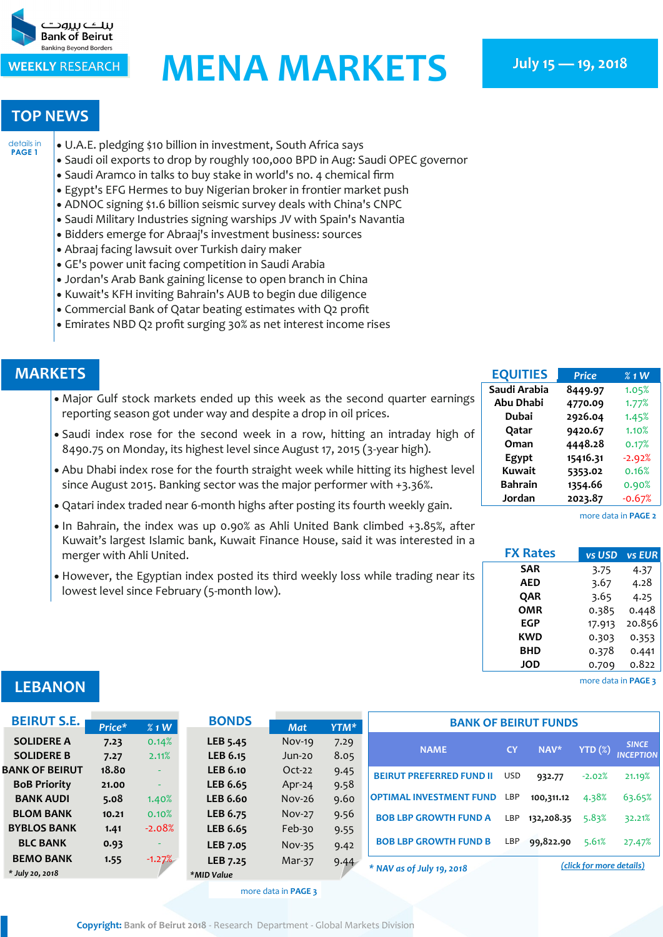<span id="page-0-0"></span>

## WEEKLY RESEARCH **MENA MARKETS** July 15 – 19, 2018

## **TOP NEWS**

- U.A.E. pledging \$10 billion in investment, South Africa says [details in](#page-1-0)  **[PAGE 1](#page-1-0)**
	- Saudi oil exports to drop by roughly 100,000 BPD in Aug: Saudi OPEC governor
	- Saudi Aramco in talks to buy stake in world's no. 4 chemical firm
	- Egypt's EFG Hermes to buy Nigerian broker in frontier market push
	- ADNOC signing \$1.6 billion seismic survey deals with China's CNPC
	- Saudi Military Industries signing warships JV with Spain's Navantia
	- Bidders emerge for Abraaj's investment business: sources
	- Abraaj facing lawsuit over Turkish dairy maker
	- GE's power unit facing competition in Saudi Arabia
	- Jordan's Arab Bank gaining license to open branch in China
	- Kuwait's KFH inviting Bahrain's AUB to begin due diligence
	- Commercial Bank of Qatar beating estimates with Q2 profit
	- Emirates NBD Q2 profit surging 30% as net interest income rises

### **MARKETS**

- Major Gulf stock markets ended up this week as the second quarter earnings reporting season got under way and despite a drop in oil prices.
- Saudi index rose for the second week in a row, hitting an intraday high of 8490.75 on Monday, its highest level since August 17, 2015 (3-year high).
- Abu Dhabi index rose for the fourth straight week while hitting its highest level since August 2015. Banking sector was the major performer with +3.36%.
- Qatari index traded near 6-month highs after posting its fourth weekly gain.
- In Bahrain, the index was up 0.90% as Ahli United Bank climbed +3.85%, after Kuwait's largest Islamic bank, Kuwait Finance House, said it was interested in a merger with Ahli United.
- However, the Egyptian index posted its third weekly loss while trading near its lowest level since February (5-month low).

| <b>EQUITIES</b>  | <b>Price</b> | $%1$ W   |
|------------------|--------------|----------|
| Saudi Arabia     | 8449.97      | 1.05%    |
| <b>Abu Dhabi</b> | 4770.09      | 1.77%    |
| Dubai            | 2926.04      | 1.45%    |
| Qatar            | 9420.67      | 1.10%    |
| Oman             | 4448.28      | 0.17%    |
| Egypt            | 15416.31     | $-2.92%$ |
| Kuwait           | 5353.02      | 0.16%    |
| <b>Bahrain</b>   | 1354.66      | 0.90%    |
| Jordan           | 2023.87      | $-0.67%$ |
|                  |              |          |

[more data in](#page-2-0) **PAGE 2**

| <b>FX Rates</b> | vs USD | <b>vs EUR</b> |
|-----------------|--------|---------------|
| <b>SAR</b>      | 3.75   | 4.37          |
| AED             | 3.67   | 4.28          |
| QAR             | 3.65   | 4.25          |
| <b>OMR</b>      | 0.385  | 0.448         |
| <b>EGP</b>      | 17.913 | 20.856        |
| KWD             | 0.303  | 0.353         |
| <b>BHD</b>      | 0.378  | 0.441         |
| <b>JOD</b>      | 0.709  | 0.822         |

[more data in](#page-3-0) **PAGE 3**

| <b>LEBANON</b> |  |  |
|----------------|--|--|
|                |  |  |
|                |  |  |

| <b>BEIRUT S.E.</b>    |        |          | <b>BONDS</b>    |               |      | <b>BANK OF BEIRUT FUNDS</b>     |            |                          |          |                  |  |
|-----------------------|--------|----------|-----------------|---------------|------|---------------------------------|------------|--------------------------|----------|------------------|--|
|                       | Price* | %1W      |                 | <b>Mat</b>    | YTM* |                                 |            |                          |          |                  |  |
| <b>SOLIDERE A</b>     | 7.23   | 0.14%    | LEB 5.45        | $Nov-19$      | 7.29 | <b>NAME</b>                     | <b>CY</b>  | NAV*                     |          | <b>SINCE</b>     |  |
| <b>SOLIDERE B</b>     | 7.27   | 2.11%    | LEB 6.15        | Jun-20        | 8.05 |                                 |            |                          | YTD(%)   | <b>INCEPTION</b> |  |
| <b>BANK OF BEIRUT</b> | 18.80  |          | <b>LEB 6.10</b> | $Oct-22$      | 9.45 | <b>BEIRUT PREFERRED FUND II</b> | <b>USD</b> | 932.77                   | $-2.02%$ | 21.19%           |  |
| <b>BoB Priority</b>   | 21.00  |          | LEB 6.65        | Apr-24        | 9.58 |                                 |            |                          |          |                  |  |
| <b>BANK AUDI</b>      | 5.08   | 1.40%    | <b>LEB 6.60</b> | $Nov-26$      | 9.60 | <b>OPTIMAL INVESTMENT FUND</b>  | LBP        | 100,311.12               | 4.38%    | 63.65%           |  |
| <b>BLOM BANK</b>      | 10.21  | 0.10%    | LEB 6.75        | <b>Nov-27</b> | 9.56 | <b>BOB LBP GROWTH FUND A</b>    | LBP        | 132,208.35               | 5.83%    | 32.21%           |  |
| <b>BYBLOS BANK</b>    | 1.41   | $-2.08%$ | LEB 6.65        | Feb-30        | 9.55 |                                 |            |                          |          |                  |  |
| <b>BLC BANK</b>       | 0.93   |          | LEB 7.05        | $Nov-35$      | 9.42 | <b>BOB LBP GROWTH FUND B</b>    | LBP        | 99,822.90                | 5.61%    | 27.47%           |  |
| <b>BEMO BANK</b>      | 1.55   | $-1.27%$ | LEB 7.25        | Mar-37        | 9.44 |                                 |            |                          |          |                  |  |
| * July 20, 2018       |        |          | *MID Value      |               |      | * NAV as of July 19, 2018       |            | (click for more details) |          |                  |  |

[more data in](#page-3-0) **PAGE 3**

**Copyright: Bank of Beirut 2018** - Research Department - Global Markets Division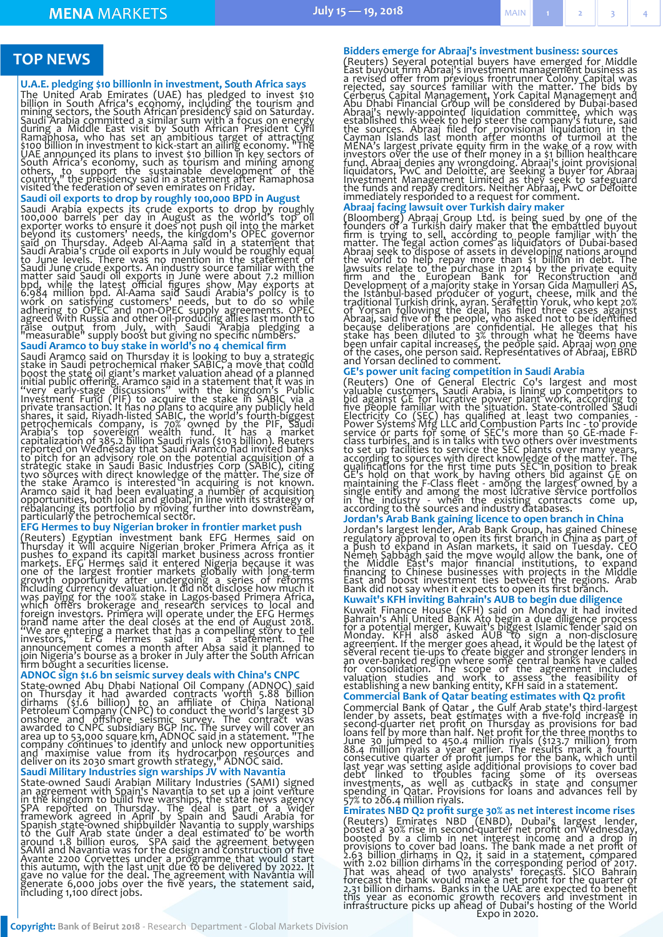## <span id="page-1-0"></span>**TOP NEWS**

#### **U.A.E. pledging \$10 billionln in investment, South Africa says**

The United Arab Emirates (UAE) has pledged to invest \$10<br>billion in South Africa's economy, including the tourism and<br>mining sectors, the South African presidency said on Saturday.<br>Saudi Arabia committed a similar sum with

#### **Saudi oil exports to drop by roughly 100,000 BPD in August**

Saudi Arabia expects its crude exports to drop by roughly<br>100,000 barrels per day in August as the world's top oil<br>exporter works to ensure it does not push oil into the market<br>beyond its customers' needs, the kingdom's OP

#### **Saudi Aramco to buy stake in world's no 4 chemical firm**

Saudi Aramco said on Thursday it is looking to buy a strategic<br>stake in Saudi petrochemical maker SABIC, a move that could<br>boost the state oil giant's market valuation ahead of a planned<br>initial public offering. Aramco sai

#### **EFG Hermes to buy Nigerian broker in frontier market push**

(Reuters) Egyptian investment bank EFG Hermes said on Thursday it will acquire Nigerian broker Primera Africa as it pushes to expand its capital market business across frontier markets. EFG Hermes said it entered Nigeria b

#### **ADNOC sign \$1.6 bn seismic survey deals with China's CNPC**

State-owned Abu Dhabi National Oil Company (ADNOC) said<br>on Thursday it had awarded contracts worth 5.88 billion<br>dirhams (\$1.6 billion) to an affiliate of China National<br>Petroleum Company (CNPC) to conduct the world's large

#### **Saudi Military Industries sign warships JV with Navantia**

State-owned Saudi Arabian Military Industries (SAMI) signed<br>an agreement with Spain's Navantia to set up a joint venture<br>in the kingdom to build five warships, the state news agency<br>SPA reported on Thursday. The deal is pa

**Bidders emerge for Abraaj's investment business: sources** (Reuters) Several potential buyers have emerged for Middle East buyout firm Abraaj's investment management business as revised offer from previous frontrunner Colony Capital was rejected, say sources familiar with the matt

#### **Abraaj facing lawsuit over Turkish dairy maker**

(Bloomberg) Abraaj Group Ltd. is being sued by one of the founders of a Turkish dairy maker that the embattled buyout firm is trying to sell, according to people familiar with the matter. The legal action comes as liquidat

#### **GE's power unit facing competition in Saudi Arabia**

(Reuters) One of General Electric Co's largest and most<br>valuable customers, Saudi Arabia, is lining up competitors to<br>bid against GE for lucrative power plant work, according to<br>five people familiar with the situation. Sta

#### **Jordan's Arab Bank gaining licence to open branch in China**

Jordan's largest lender, Arab Bank Group, has gained Chinese<br>regulatory approval to open its first branch in China as part of<br>a push to expand in Asian markets, it said on Tuesday. CEO<br>Nemeh Sabbagh said the move would all

# **Kuwait's KFH inviting Bahrain's AUB to begin due diligence** Kuwait Finance House (KFH) said on Monday it had invited<br>Bahrain's Ahli United Bank Ato begin a due diligence process<br>for a potential merger, Kuwait's biggest Islamic lender said on<br>Monday. KFH also asked AUB to sign a non

#### **Commercial Bank of Qatar beating estimates with Q2 profit**

Commercial Bank of Qatar, the Gulf Arab state's third-largest<br>lender by assets, beat estimates with a five-fold increase in<br>second-quarter net profit on Thursday as provisions for bad<br>loans fell by more than half. Net prof

#### **Emirates NBD Q2 profit surge 30% as net interest income rises**

(Reuters) Emirates NBD (ENBD), Dubai's largest lender, posted a 30% rise in second-quarter net profit on Wednesday, boosted by a climb in net interest income and a drop in provisions to cover bad loans. The bank made a net Expo in 2020.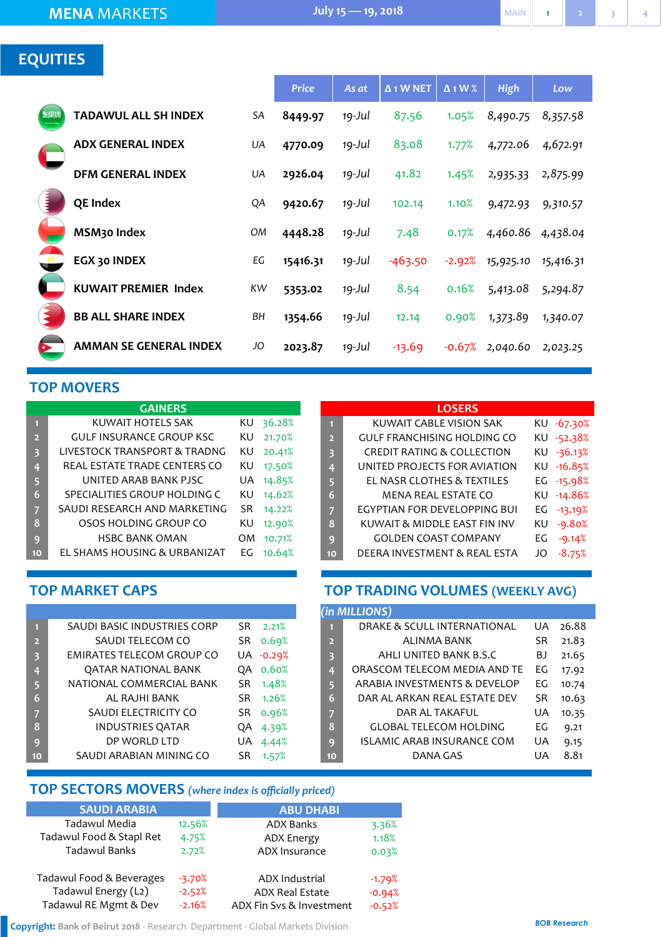## <span id="page-2-0"></span>**EQUITIES**

|      |                             |    | <b>Price</b> | As at     | $\Delta$ 1 W NET | $\Delta$ 1 W % | <b>High</b> | Low       |
|------|-----------------------------|----|--------------|-----------|------------------|----------------|-------------|-----------|
| 发发测测 | <b>TADAWUL ALL SH INDEX</b> | SA | 8449.97      | $19$ -Jul | 87.56            | 1.05%          | 8,490.75    | 8,357.58  |
|      | <b>ADX GENERAL INDEX</b>    | UA | 4770.09      | $19$ -Jul | 83.08            | 1.77%          | 4,772.06    | 4,672.91  |
|      | <b>DFM GENERAL INDEX</b>    | UA | 2926.04      | $19$ -Jul | 41.82            | 1.45%          | 2,935.33    | 2,875.99  |
|      | QE Index                    | QA | 9420.67      | 19-Jul    | 102.14           | 1.10%          | 9,472.93    | 9,310.57  |
|      | MSM <sub>30</sub> Index     | OM | 4448.28      | $19$ -Jul | 7.48             | 0.17%          | 4,460.86    | 4,438.04  |
|      | EGX 30 INDEX                | EG | 15416.31     | 19-Jul    | $-463.50$        | $-2.92%$       | 15,925.10   | 15,416.31 |
|      | <b>KUWAIT PREMIER Index</b> | KW | 5353.02      | $19$ -Jul | 8.54             | 0.16%          | 5,413.08    | 5,294.87  |
|      | <b>BB ALL SHARE INDEX</b>   | BH | 1354.66      | $19$ -Jul | 12.14            | 0.90%          | 1,373.89    | 1,340.07  |
|      | AMMAN SE GENERAL INDEX      | JO | 2023.87      | 19-Jul    | $-13.69$         | $-0.67%$       | 2,040.60    | 2,023.25  |

## **TOP MOVERS**

| <b>GAINERS</b> |                                 |     |        |  |  |  |  |  |
|----------------|---------------------------------|-----|--------|--|--|--|--|--|
| П              | KUWAIT HOTELS SAK               | ΚU  | 36.28% |  |  |  |  |  |
| $\overline{2}$ | <b>GULF INSURANCE GROUP KSC</b> | ΚU  | 21.70% |  |  |  |  |  |
| 3              | LIVESTOCK TRANSPORT & TRADNG    | ΚU  | 20.41% |  |  |  |  |  |
| 4              | REAL ESTATE TRADE CENTERS CO    | ΚU  | 17.50% |  |  |  |  |  |
| 5              | UNITED ARAB BANK PJSC           | UA  | 14.85% |  |  |  |  |  |
| 6              | SPECIALITIES GROUP HOLDING C    | ΚU  | 14.62% |  |  |  |  |  |
| 7              | SAUDI RESEARCH AND MARKETING    | SR. | 14.22% |  |  |  |  |  |
| 8              | OSOS HOLDING GROUP CO           | ΚU  | 12.90% |  |  |  |  |  |
| 9              | <b>HSBC BANK OMAN</b>           | OM  | 10.71% |  |  |  |  |  |
| 10             | EL SHAMS HOUSING & URBANIZAT    | EG  | 10.64% |  |  |  |  |  |

### **LOSERS**

| П              | KUWAIT CABLE VISION SAK               |    | KU -67.30% |
|----------------|---------------------------------------|----|------------|
| $\overline{2}$ | <b>GULF FRANCHISING HOLDING CO</b>    |    | KU -52.38% |
| 3              | <b>CREDIT RATING &amp; COLLECTION</b> |    | KU -36.13% |
| $\overline{4}$ | UNITED PROJECTS FOR AVIATION          |    | KU -16.85% |
| 5              | EL NASR CLOTHES & TEXTILES            |    | EG -15.98% |
| 6              | MENA REAL ESTATE CO                   |    | KU -14.86% |
| 7              | EGYPTIAN FOR DEVELOPPING BUI          |    | EG -13.19% |
| 8              | KUWAIT & MIDDLE EAST FIN INV          | ΚU | $-9.80%$   |
| 9              | <b>GOLDEN COAST COMPANY</b>           | EG | $-9.14%$   |
| 10             | DEERA INVESTMENT & REAL ESTA          | JO | $-8.75%$   |
|                |                                       |    |            |

## **TOP MARKET CAPS**

| п              | SAUDI BASIC INDUSTRIES CORP      | SR. | 2.21%     |
|----------------|----------------------------------|-----|-----------|
| $\overline{2}$ | SAUDI TELECOM CO                 | SR. | 0.69%     |
| 3              | <b>EMIRATES TELECOM GROUP CO</b> |     | UA -0.29% |
| 4              | QATAR NATIONAL BANK              | OΑ  | 0.60%     |
| 5.             | NATIONAL COMMERCIAL BANK         | SR  | 1.48%     |
| 6              | AL RAJHI BANK                    | SR. | 1.26%     |
| 7              | SAUDI ELECTRICITY CO             | SR. | 0.96%     |
| 8              | <b>INDUSTRIES QATAR</b>          | QA  | 4.39%     |
| 9              | DP WORLD LTD                     | UA  | 4.44%     |
| 10             | SAUDI ARABIAN MINING CO          | SR  | 1.57%     |

## **TOP TRADING VOLUMES (WEEKLY AVG)**

| (in MILLIONS)           |                               |    |       |  |  |  |  |  |  |
|-------------------------|-------------------------------|----|-------|--|--|--|--|--|--|
| п                       | DRAKE & SCULL INTERNATIONAL   | UA | 26.88 |  |  |  |  |  |  |
| $\overline{2}$          | ALINMA BANK                   | SR | 21.83 |  |  |  |  |  |  |
| $\overline{\mathbf{3}}$ | AHLI UNITED BANK B.S.C        | BJ | 21.65 |  |  |  |  |  |  |
| 4                       | ORASCOM TELECOM MEDIA AND TE  | EG | 17.92 |  |  |  |  |  |  |
| 5                       | ARABIA INVESTMENTS & DEVELOP  | FG | 10.74 |  |  |  |  |  |  |
| 6                       | DAR AL ARKAN REAL ESTATE DEV  | SR | 10.63 |  |  |  |  |  |  |
| 7                       | DAR AL TAKAFUL                | UA | 10.35 |  |  |  |  |  |  |
| 8                       | <b>GLOBAL TELECOM HOLDING</b> | EG | 9.21  |  |  |  |  |  |  |
| q                       | ISLAMIC ARAB INSURANCE COM    | UA | 9.15  |  |  |  |  |  |  |
| 10                      | DANA GAS                      | UA | 8.81  |  |  |  |  |  |  |

## **TOP SECTORS MOVERS** *(where index is officially priced)*

| <b>SAUDI ARABIA</b>      |          | <b>ABU DHABI</b>         |          |
|--------------------------|----------|--------------------------|----------|
| Tadawul Media            | 12.56%   | <b>ADX Banks</b>         | 3.36%    |
| Tadawul Food & Stapl Ret | 4.75%    | <b>ADX Energy</b>        | 1.18%    |
| Tadawul Banks            | 2.72%    | ADX Insurance            | 0.03%    |
| Tadawul Food & Beverages | $-3.70%$ | <b>ADX Industrial</b>    | $-1.79%$ |
| Tadawul Energy (L2)      | $-2.52%$ | <b>ADX Real Estate</b>   | $-0.94%$ |
| Tadawul RE Mgmt & Dev    | $-2.16%$ | ADX Fin Svs & Investment | $-0.52%$ |

**Copyright: Bank of Beirut 2018** - Research Department - Global Markets Division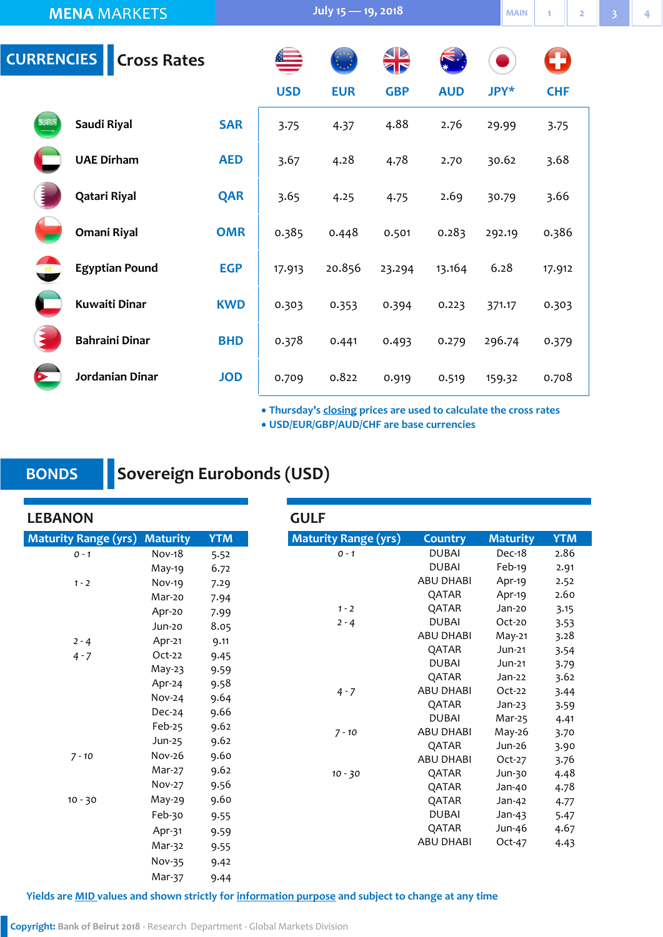<span id="page-3-0"></span>

|              | <b>MENA MARKETS</b>           |            | July $15 - 19$ , 2018 | <b>MAIN</b> |            |            |        |            |  |  |
|--------------|-------------------------------|------------|-----------------------|-------------|------------|------------|--------|------------|--|--|
|              | <b>CURRENCIES Cross Rates</b> |            |                       | S           | <b>SP</b>  |            |        | O          |  |  |
|              |                               |            | <b>USD</b>            | <b>EUR</b>  | <b>GBP</b> | <b>AUD</b> | JPY*   | <b>CHF</b> |  |  |
| SENA         | Saudi Riyal                   | <b>SAR</b> | 3.75                  | 4.37        | 4.88       | 2.76       | 29.99  | 3.75       |  |  |
|              | <b>UAE Dirham</b>             | <b>AED</b> | 3.67                  | 4.28        | 4.78       | 2.70       | 30.62  | 3.68       |  |  |
|              | Qatari Riyal                  | <b>QAR</b> | 3.65                  | 4.25        | 4.75       | 2.69       | 30.79  | 3.66       |  |  |
|              | Omani Riyal                   | <b>OMR</b> | 0.385                 | 0.448       | 0.501      | 0.283      | 292.19 | 0.386      |  |  |
| $\mathbb{R}$ | <b>Egyptian Pound</b>         | <b>EGP</b> | 17.913                | 20.856      | 23.294     | 13.164     | 6.28   | 17.912     |  |  |
|              | <b>Kuwaiti Dinar</b>          | <b>KWD</b> | 0.303                 | 0.353       | 0.394      | 0.223      | 371.17 | 0.303      |  |  |
|              | <b>Bahraini Dinar</b>         | <b>BHD</b> | 0.378                 | 0.441       | 0.493      | 0.279      | 296.74 | 0.379      |  |  |
|              | Jordanian Dinar               | <b>JOD</b> | 0.709                 | 0.822       | 0.919      | 0.519      | 159.32 | 0.708      |  |  |

**Thursday's closing prices are used to calculate the cross rates**

**USD/EUR/GBP/AUD/CHF are base currencies**

## **BONDS**

## **Sovereign Eurobonds (USD)**

**LEBANON Maturity Range (yrs) Country Maturity YTM** *0 - 1* DUBAI Dec-18 2.86 DUBAI Feb-19 2.91 ABU DHABI Apr-19 2.52 QATAR Apr-19 2.60 *1 - 2* QATAR Jan-20 3.15 *2 - 4* DUBAI Oct-20 3.53 ABU DHABI May-21 3.28 QATAR Jun-21 3.54 DUBAI Jun-21 3.79 QATAR Jan-22 3.62 *4 - 7* ABU DHABI Oct-22 3.44 QATAR Jan-23 3.59 DUBAI Mar-25 4.41 *7 - 10* ABU DHABI May-26 3.70 QATAR Jun-26 3.90 ABU DHABI Oct-27 3.76 *10 - 30* QATAR Jun-30 4.48 QATAR Jan-40 4.78 QATAR Jan-42 4.77 DUBAI Jan-43 5.47 QATAR Jun-46 4.67 ABU DHABI Oct-47 4.43 **Maturity Range (yrs) Maturity YTM** *0 - 1* Nov-18 5.52 May-19 6.72 *1 - 2* Nov-19 7.29 Mar-20 7.94 Apr-20 7.99 Jun-20 8.05 *2 - 4* Apr-21 9.11 *4 - 7* Oct-22 9.45 May-23 9.59 Apr-24 9.58 Nov-24 9.64 Dec-24 9.66 Feb-25 9.62 Jun-25 9.62 *7 - 10* Nov-26 9.60 Mar-27 9.62 Nov-27 9.56 10 - 30 May-29 9.60 Feb-30 9.55 Apr-31 9.59 Mar-32 9.55 Nov-35 9.42 Mar-37 9.44 **GULF** 

**Yields are MID values and shown strictly for information purpose and subject to change at any time**